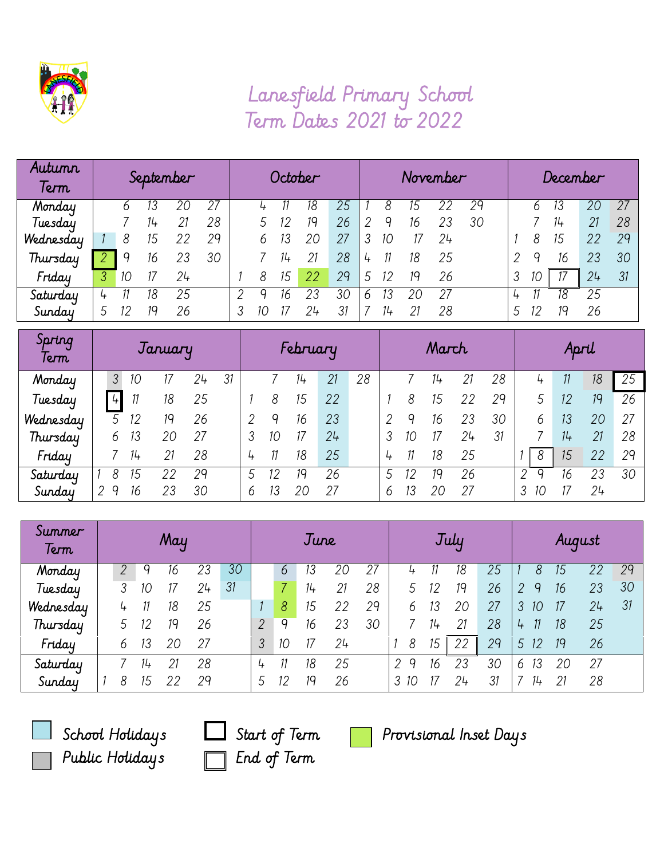

## Lanesfield Primary School Term Dates 2021 to 2022

| Autumn<br>Term | September |    |    |    |    | October |    |    |    |    | November |       |    |    |    | December |   |    |    |    |
|----------------|-----------|----|----|----|----|---------|----|----|----|----|----------|-------|----|----|----|----------|---|----|----|----|
| Monday         |           |    |    |    | 27 |         |    |    |    | 25 |          |       |    |    | 29 |          |   |    |    | 27 |
| Tuesday        |           |    |    | 21 | 28 |         |    |    | 19 | 26 |          |       | 16 | 23 | 30 |          |   |    | 21 | 28 |
| Wednesday      |           | 8  | 15 |    | 29 |         |    | 13 | 20 | 27 |          | 10    |    | 24 |    |          |   |    | 22 | 29 |
| Thursday       |           | q  | 16 | 23 | 30 |         |    | 14 | 21 | 28 | 4        |       | 18 | 25 |    |          | q | 16 | 23 | 30 |
| Friday         |           | 10 |    | 24 |    |         | 8  | 15 | 22 | 29 | 5        | 12    | 19 | 26 |    |          |   |    | 24 | 31 |
| Saturday       |           |    | 18 | 25 |    |         |    | 16 | 23 | 3С | h        | 3     |    | 27 |    |          |   | 18 | 25 |    |
| Sunday         |           | 12 |    | 26 |    |         | 10 |    |    | 31 |          | $11+$ |    | 28 |    |          |   |    | 26 |    |

| Spring<br>Term | January       |    |    |    |    | February |    |    |    |    |   | March |    |    |    |    | April |    |    |  |
|----------------|---------------|----|----|----|----|----------|----|----|----|----|---|-------|----|----|----|----|-------|----|----|--|
| Monday         | 3             | 10 |    | 24 | 31 |          |    | 14 | 21 | 28 |   |       | 74 | 21 | 28 |    |       | 18 | 25 |  |
| Tuesday        | $\frac{1}{4}$ |    | 18 | 25 |    |          | 8  | 15 | 22 |    |   | 8     | 15 |    | 29 | 5  | 12    | 19 | 26 |  |
| Wednesday      |               | 12 | 19 | 26 |    |          | 9  | 16 | 23 |    |   |       | 16 | 23 | 30 | 6  | 13    | 20 | 27 |  |
| Thursday       | 6             | 13 | 20 | 27 |    |          | 1С |    | 24 |    |   | 10    |    | 24 | 31 |    | 14    | 21 | 28 |  |
| Friday         |               | 14 | 21 | 28 |    | 4        |    | 18 | 25 |    |   |       | 18 | 25 |    | 8  | 15    | 22 | 29 |  |
| Saturday       | 8             | 15 | 22 | 29 |    |          |    | 19 | 26 |    |   |       | 19 | 26 |    | 2  | 16    | 23 | 30 |  |
| Sunday         | q             | 16 | 23 | 30 |    | 6        |    | 20 | 27 |    | 6 | 13    | 20 | 27 |    | 10 |       | 24 |    |  |

| Summer<br>Term | May |   |    |    | June |    |   |    | July |    |    |         | August |    |    |         |    |    |    |
|----------------|-----|---|----|----|------|----|---|----|------|----|----|---------|--------|----|----|---------|----|----|----|
| Monday         |     |   |    | 16 | 23   | 30 |   | b  | 13   | 20 | 27 |         |        | 18 | 25 | 8       |    | 22 | 29 |
| Tuesday        |     | 3 |    | 17 | 24   | 31 |   |    | 14   | 21 | 28 |         | 12     | 19 | 26 | q<br>2  | 16 | 23 | 30 |
| Wednesday      |     | 4 |    | 18 | 25   |    |   | 8  | 15   | 22 | 29 | 6       |        | 20 | 27 | 3<br>10 | 17 | 24 | 31 |
| Thursday       |     |   |    | 19 | 26   |    | 2 | q  | 16   | 23 | 30 |         | $11+$  | 21 | 28 | 4       | 18 | 25 |    |
| Friday         |     | 6 | 13 | 20 | 27   |    | 3 | 10 |      | 24 |    | 8       | 15     | 22 | 29 | 5<br>12 | 19 | 26 |    |
| Saturday       |     |   | 14 | 21 | 28   |    | 4 |    | 18   | 25 |    | q<br>2  | 16     | 23 | 30 | 13<br>6 | 20 | 27 |    |
| Sunday         |     | 8 | 15 | 22 | 29   |    |   | 12 | 19   | 26 |    | 3<br>10 |        | 24 | 31 | 14      | 21 | 28 |    |



Public Holidays End of Term

School Holidays  $\Box$  Start of Term  $\Box$  Provisional Inset Days